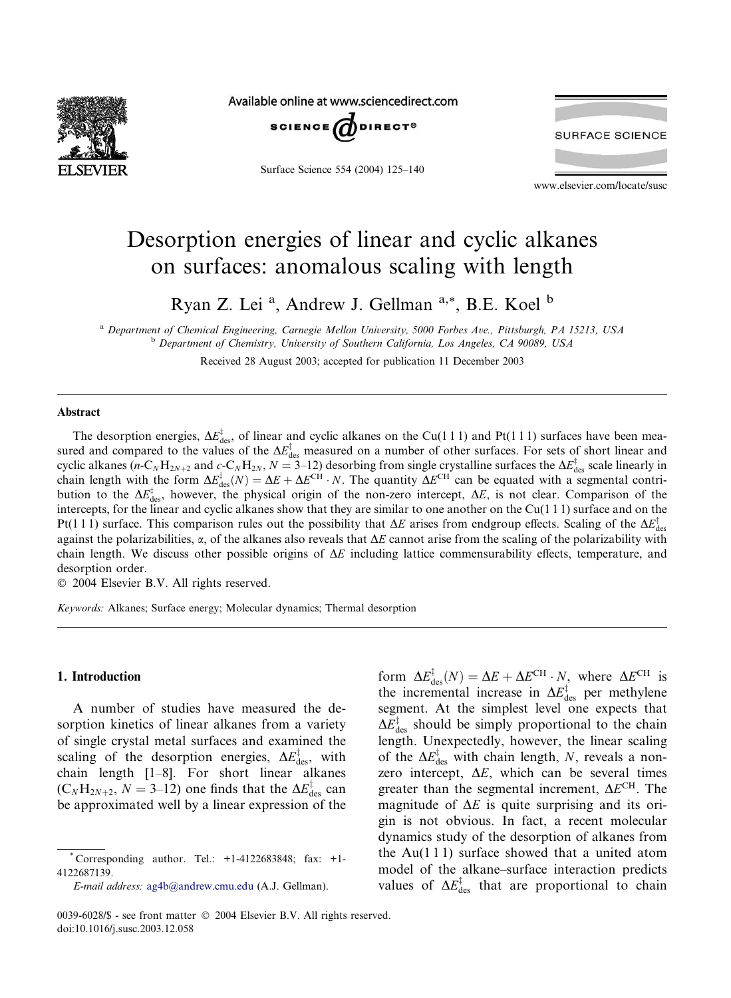

Available online at www.sciencedirect.com



Surface Science 554 (2004) 125–140



www.elsevier.com/locate/susc

# Desorption energies of linear and cyclic alkanes on surfaces: anomalous scaling with length

Ryan Z. Lei<sup>a</sup>, Andrew J. Gellman<sup>a,\*</sup>, B.E. Koel<sup>b</sup>

<sup>a</sup> Department of Chemical Engineering, Carnegie Mellon University, 5000 Forbes Ave., Pittsburgh, PA 15213, USA <sup>b</sup> Department of Chemistry, University of Southern California, Los Angeles, CA 90089, USA Received 28 August 2003; accepted for publication 11 December 2003

### Abstract

The desorption energies,  $\Delta E_{\text{des}}^{\ddagger}$ , of linear and cyclic alkanes on the Cu(111) and Pt(111) surfaces have been measured and compared to the values of the  $\Delta E_{\text{des}}^{\ddagger}$  measured on a number of other surfaces. For sets of short linear and cyclic alkanes (*n*-C<sub>N</sub>H<sub>2N+2</sub> and *c*-C<sub>N</sub>H<sub>2N</sub>, *N* = 3–12) desorbing from single crystalline surfaces the  $\Delta E_{\text{des}}^{\dagger}$  scale linearly in chain length with the form  $\Delta E_{\text{des}}^{\dagger}(N) = \Delta E + \Delta E^{\text{CH}} \cdot N$ . The quantity  $\Delta E^{\text{CH}}$  can be equated with a segmental contribution to the  $\Delta E_{\text{des}}^{\ddagger}$ , however, the physical origin of the non-zero intercept,  $\Delta E$ , is not clear. Comparison of the intercepts, for the linear and cyclic alkanes show that they are similar to one another on the Cu(1 1 1) surface and on the Pt(111) surface. This comparison rules out the possibility that  $\Delta E$  arises from endgroup effects. Scaling of the  $\Delta E_{\rm des}^{\ddagger}$ against the polarizabilities,  $\alpha$ , of the alkanes also reveals that  $\Delta E$  cannot arise from the scaling of the polarizability with chain length. We discuss other possible origins of  $\Delta E$  including lattice commensurability effects, temperature, and desorption order.

2004 Elsevier B.V. All rights reserved.

Keywords: Alkanes; Surface energy; Molecular dynamics; Thermal desorption

## 1. Introduction

A number of studies have measured the desorption kinetics of linear alkanes from a variety of single crystal metal surfaces and examined the scaling of the desorption energies,  $\Delta E_{\text{des}}^{\dagger}$ , with chain length [1–8]. For short linear alkanes  $(C_N H_{2N+2}, N = 3-12)$  one finds that the  $\Delta E_{\text{des}}^{\dagger}$  can be approximated well by a linear expression of the

form  $\Delta E_{\text{des}}^{\dagger}(N) = \Delta E + \Delta E^{\text{CH}} \cdot N$ , where  $\Delta E^{\text{CH}}$  is the incremental increase in  $\Delta E_{\text{des}}^{\dagger}$  per methylene segment. At the simplest level one expects that  $\Delta E_{\text{des}}^{\dagger}$  should be simply proportional to the chain length. Unexpectedly, however, the linear scaling of the  $\Delta E_{\text{des}}^{\dagger}$  with chain length, N, reveals a nonzero intercept,  $\Delta E$ , which can be several times greater than the segmental increment,  $\Delta E^{CH}$ . The magnitude of  $\Delta E$  is quite surprising and its origin is not obvious. In fact, a recent molecular dynamics study of the desorption of alkanes from the  $Au(111)$  surface showed that a united atom model of the alkane–surface interaction predicts values of  $\Delta E_{\text{des}}^{\dagger}$  that are proportional to chain

Corresponding author. Tel.:  $+1-4122683848$ ; fax:  $+1-$ 4122687139.

E-mail address: [ag4b@andrew.cmu.edu](mail to: ag4b@andrew.cmu.edu) (A.J. Gellman).

<sup>0039-6028/\$ -</sup> see front matter  $\odot$  2004 Elsevier B.V. All rights reserved. doi:10.1016/j.susc.2003.12.058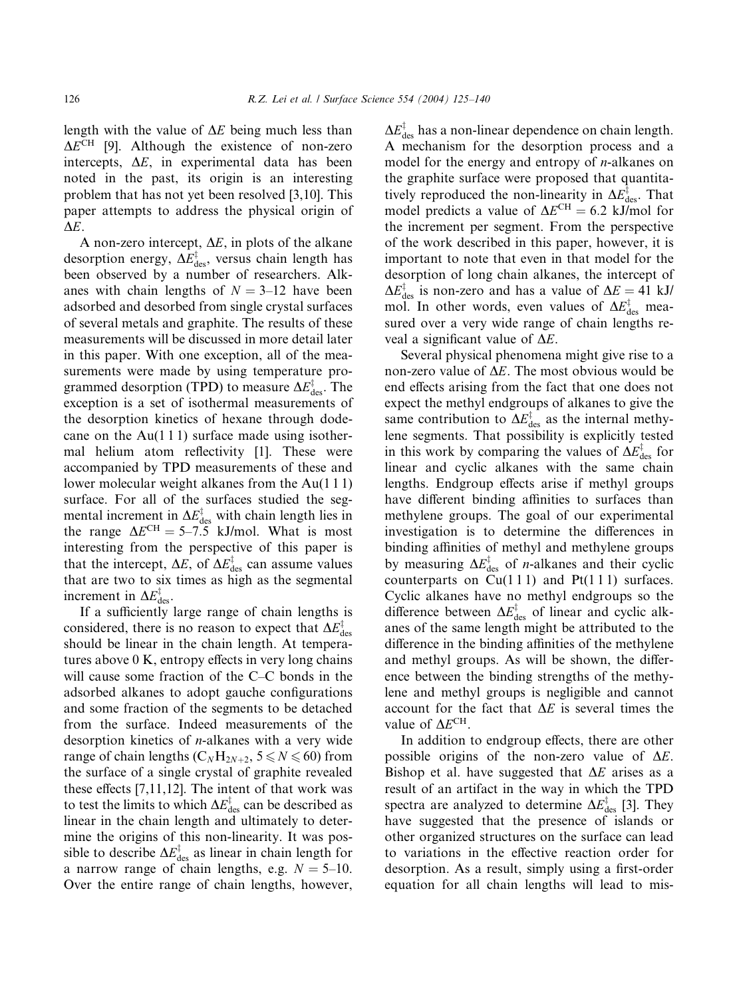length with the value of  $\Delta E$  being much less than  $\Delta E^{\text{CH}}$  [9]. Although the existence of non-zero intercepts,  $\Delta E$ , in experimental data has been noted in the past, its origin is an interesting problem that has not yet been resolved [3,10]. This paper attempts to address the physical origin of  $\Delta E$ .

A non-zero intercept,  $\Delta E$ , in plots of the alkane desorption energy,  $\Delta E_{\rm des}^{\ddagger}$ , versus chain length has been observed by a number of researchers. Alkanes with chain lengths of  $N = 3{\text -}12$  have been adsorbed and desorbed from single crystal surfaces of several metals and graphite. The results of these measurements will be discussed in more detail later in this paper. With one exception, all of the measurements were made by using temperature programmed desorption (TPD) to measure  $\Delta E_{\text{des}}^{\ddagger}$ . The exception is a set of isothermal measurements of the desorption kinetics of hexane through dodecane on the  $Au(111)$  surface made using isothermal helium atom reflectivity [1]. These were accompanied by TPD measurements of these and lower molecular weight alkanes from the Au(1 1 1) surface. For all of the surfaces studied the segmental increment in  $\Delta E_{\text{des}}^{\dagger}$  with chain length lies in the range  $\Delta E^{CH} = 5-7.5$  kJ/mol. What is most interesting from the perspective of this paper is that the intercept,  $\Delta E$ , of  $\Delta E_{\text{des}}^{\dagger}$  can assume values that are two to six times as high as the segmental increment in  $\Delta E_{\text{des}}^{\ddagger}$ .

If a sufficiently large range of chain lengths is considered, there is no reason to expect that  $\Delta E_{\rm des}^{\ddag}$ should be linear in the chain length. At temperatures above 0 K, entropy effects in very long chains will cause some fraction of the C–C bonds in the adsorbed alkanes to adopt gauche configurations and some fraction of the segments to be detached from the surface. Indeed measurements of the desorption kinetics of  $n$ -alkanes with a very wide range of chain lengths ( $C_NH_{2N+2}$ ,  $5 \le N \le 60$ ) from the surface of a single crystal of graphite revealed these effects [7,11,12]. The intent of that work was to test the limits to which  $\Delta E_{\text{des}}^{\ddagger}$  can be described as linear in the chain length and ultimately to determine the origins of this non-linearity. It was possible to describe  $\Delta E_{\text{des}}^{\ddagger}$  as linear in chain length for a narrow range of chain lengths, e.g.  $N = 5{\text -}10$ . Over the entire range of chain lengths, however,

 $\Delta E_{\text{des}}^{\ddagger}$  has a non-linear dependence on chain length. A mechanism for the desorption process and a model for the energy and entropy of  $n$ -alkanes on the graphite surface were proposed that quantitatively reproduced the non-linearity in  $\Delta E_{\text{des}}^{\dagger}$ . That model predicts a value of  $\Delta E^{\text{CH}} = 6.2$  kJ/mol for the increment per segment. From the perspective of the work described in this paper, however, it is important to note that even in that model for the desorption of long chain alkanes, the intercept of  $\Delta E_{\text{des}}^{\ddagger}$  is non-zero and has a value of  $\Delta E = 41$  kJ/ mol. In other words, even values of  $\Delta E_{\text{des}}^{\dagger}$  measured over a very wide range of chain lengths reveal a significant value of  $\Delta E$ .

Several physical phenomena might give rise to a non-zero value of  $\Delta E$ . The most obvious would be end effects arising from the fact that one does not expect the methyl endgroups of alkanes to give the same contribution to  $\Delta E_{\text{des}}^{\ddagger}$  as the internal methylene segments. That possibility is explicitly tested in this work by comparing the values of  $\Delta E_{\text{des}}^{\ddagger}$  for linear and cyclic alkanes with the same chain lengths. Endgroup effects arise if methyl groups have different binding affinities to surfaces than methylene groups. The goal of our experimental investigation is to determine the differences in binding affinities of methyl and methylene groups by measuring  $\Delta E_{\text{des}}^{\ddagger}$  of *n*-alkanes and their cyclic counterparts on  $Cu(111)$  and  $Pt(111)$  surfaces. Cyclic alkanes have no methyl endgroups so the difference between  $\Delta E_{\text{des}}^{\ddagger}$  of linear and cyclic alkanes of the same length might be attributed to the difference in the binding affinities of the methylene and methyl groups. As will be shown, the difference between the binding strengths of the methylene and methyl groups is negligible and cannot account for the fact that  $\Delta E$  is several times the value of  $\Delta E^{\text{CH}}$ .

In addition to endgroup effects, there are other possible origins of the non-zero value of  $\Delta E$ . Bishop et al. have suggested that  $\Delta E$  arises as a result of an artifact in the way in which the TPD spectra are analyzed to determine  $\Delta E_{\text{des}}^{\ddagger}$  [3]. They have suggested that the presence of islands or other organized structures on the surface can lead to variations in the effective reaction order for desorption. As a result, simply using a first-order equation for all chain lengths will lead to mis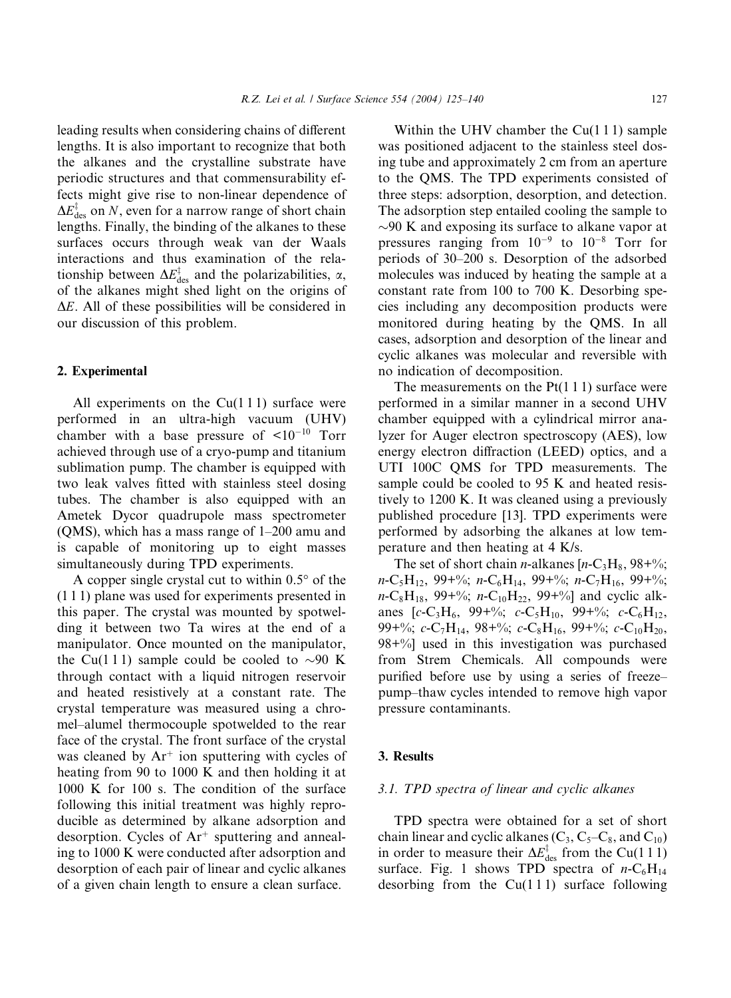leading results when considering chains of different lengths. It is also important to recognize that both the alkanes and the crystalline substrate have periodic structures and that commensurability effects might give rise to non-linear dependence of  $\Delta E_{\text{des}}^{\ddagger}$  on N, even for a narrow range of short chain lengths. Finally, the binding of the alkanes to these surfaces occurs through weak van der Waals interactions and thus examination of the relationship between  $\Delta E_{\text{des}}^{\dagger}$  and the polarizabilities,  $\alpha$ , of the alkanes might shed light on the origins of  $\Delta E$ . All of these possibilities will be considered in our discussion of this problem.

## 2. Experimental

All experiments on the  $Cu(111)$  surface were performed in an ultra-high vacuum (UHV) chamber with a base pressure of  $\leq 10^{-10}$  Torr achieved through use of a cryo-pump and titanium sublimation pump. The chamber is equipped with two leak valves fitted with stainless steel dosing tubes. The chamber is also equipped with an Ametek Dycor quadrupole mass spectrometer (QMS), which has a mass range of 1–200 amu and is capable of monitoring up to eight masses simultaneously during TPD experiments.

A copper single crystal cut to within  $0.5^{\circ}$  of the (1 1 1) plane was used for experiments presented in this paper. The crystal was mounted by spotwelding it between two Ta wires at the end of a manipulator. Once mounted on the manipulator, the Cu(111) sample could be cooled to  $\sim$ 90 K through contact with a liquid nitrogen reservoir and heated resistively at a constant rate. The crystal temperature was measured using a chromel–alumel thermocouple spotwelded to the rear face of the crystal. The front surface of the crystal was cleaned by  $Ar^+$  ion sputtering with cycles of heating from 90 to 1000 K and then holding it at 1000 K for 100 s. The condition of the surface following this initial treatment was highly reproducible as determined by alkane adsorption and desorption. Cycles of  $Ar^+$  sputtering and annealing to 1000 K were conducted after adsorption and desorption of each pair of linear and cyclic alkanes of a given chain length to ensure a clean surface.

Within the UHV chamber the  $Cu(111)$  sample was positioned adjacent to the stainless steel dosing tube and approximately 2 cm from an aperture to the QMS. The TPD experiments consisted of three steps: adsorption, desorption, and detection. The adsorption step entailed cooling the sample to  $\sim$ 90 K and exposing its surface to alkane vapor at pressures ranging from  $10^{-9}$  to  $10^{-8}$  Torr for periods of 30–200 s. Desorption of the adsorbed molecules was induced by heating the sample at a constant rate from 100 to 700 K. Desorbing species including any decomposition products were monitored during heating by the QMS. In all cases, adsorption and desorption of the linear and cyclic alkanes was molecular and reversible with no indication of decomposition.

The measurements on the  $Pt(1\ 1\ 1)$  surface were performed in a similar manner in a second UHV chamber equipped with a cylindrical mirror analyzer for Auger electron spectroscopy (AES), low energy electron diffraction (LEED) optics, and a UTI 100C QMS for TPD measurements. The sample could be cooled to 95 K and heated resistively to 1200 K. It was cleaned using a previously published procedure [13]. TPD experiments were performed by adsorbing the alkanes at low temperature and then heating at 4 K/s.

The set of short chain *n*-alkanes  $[n-C_3H_8, 98+\%;$  $n\text{-}C_5\text{H}_{12}$ , 99+%;  $n\text{-}C_6\text{H}_{14}$ , 99+%;  $n\text{-}C_7\text{H}_{16}$ , 99+%;  $n\text{-}C_8\text{H}_{18}$ , 99+%;  $n\text{-}C_{10}\text{H}_{22}$ , 99+%] and cyclic alkanes  $[c-C_3H_6, 99+\%; c-C_5H_{10}, 99+\%; c-C_6H_{12},$ 99+%; c-C<sub>7</sub>H<sub>14</sub>, 98+%; c-C<sub>8</sub>H<sub>16</sub>, 99+%; c-C<sub>10</sub>H<sub>20</sub>, 98+%] used in this investigation was purchased from Strem Chemicals. All compounds were purified before use by using a series of freeze– pump–thaw cycles intended to remove high vapor pressure contaminants.

## 3. Results

## 3.1. TPD spectra of linear and cyclic alkanes

TPD spectra were obtained for a set of short chain linear and cyclic alkanes  $(C_3, C_5-C_8,$  and  $C_{10}$ ) in order to measure their  $\Delta E_{\text{des}}^{\dagger}$  from the Cu(111) surface. Fig. 1 shows TPD spectra of  $n-C_6H_{14}$ desorbing from the  $Cu(111)$  surface following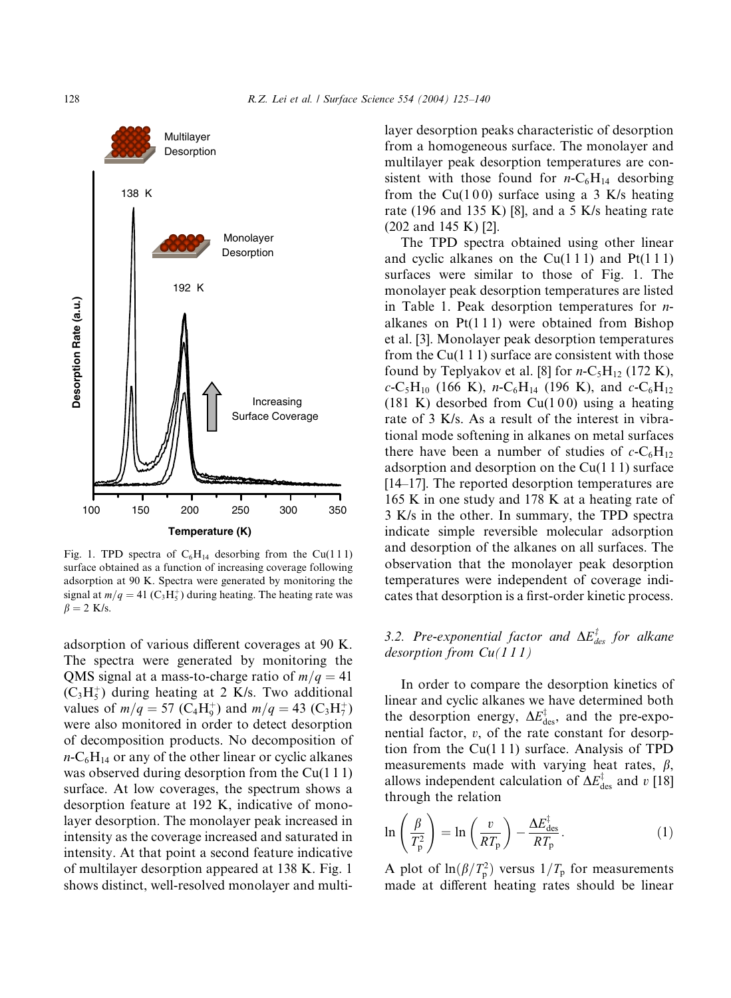

Fig. 1. TPD spectra of  $C_6H_{14}$  desorbing from the Cu(111) surface obtained as a function of increasing coverage following adsorption at 90 K. Spectra were generated by monitoring the signal at  $m/q = 41$  (C<sub>3</sub>H<sub>5</sub><sup>+</sup>) during heating. The heating rate was  $\beta = 2$  K/s.

adsorption of various different coverages at 90 K. The spectra were generated by monitoring the QMS signal at a mass-to-charge ratio of  $m/q = 41$  $(C_3H_5^+)$  during heating at 2 K/s. Two additional values of  $m/q = 57 \text{ (C}_4\text{H}_9^+)$  and  $m/q = 43 \text{ (C}_3\text{H}_7^+)$ were also monitored in order to detect desorption of decomposition products. No decomposition of  $n-C_6H_{14}$  or any of the other linear or cyclic alkanes was observed during desorption from the Cu(111) surface. At low coverages, the spectrum shows a desorption feature at 192 K, indicative of monolayer desorption. The monolayer peak increased in intensity as the coverage increased and saturated in intensity. At that point a second feature indicative of multilayer desorption appeared at 138 K. Fig. 1 shows distinct, well-resolved monolayer and multilayer desorption peaks characteristic of desorption from a homogeneous surface. The monolayer and multilayer peak desorption temperatures are consistent with those found for  $n\text{-}C_6\text{H}_{14}$  desorbing from the Cu(100) surface using a 3 K/s heating rate (196 and 135 K) [8], and a 5 K/s heating rate (202 and 145 K) [2].

The TPD spectra obtained using other linear and cyclic alkanes on the  $Cu(111)$  and  $Pt(111)$ surfaces were similar to those of Fig. 1. The monolayer peak desorption temperatures are listed in Table 1. Peak desorption temperatures for nalkanes on  $Pt(111)$  were obtained from Bishop et al. [3]. Monolayer peak desorption temperatures from the  $Cu(111)$  surface are consistent with those found by Teplyakov et al. [8] for  $n-C_5H_{12}$  (172 K),  $c$ -C<sub>5</sub>H<sub>10</sub> (166 K), *n*-C<sub>6</sub>H<sub>14</sub> (196 K), and  $c$ -C<sub>6</sub>H<sub>12</sub> (181 K) desorbed from  $Cu(100)$  using a heating rate of 3 K/s. As a result of the interest in vibrational mode softening in alkanes on metal surfaces there have been a number of studies of  $c$ -C<sub>6</sub>H<sub>12</sub> adsorption and desorption on the  $Cu(111)$  surface [14–17]. The reported desorption temperatures are 165 K in one study and 178 K at a heating rate of 3 K/s in the other. In summary, the TPD spectra indicate simple reversible molecular adsorption and desorption of the alkanes on all surfaces. The observation that the monolayer peak desorption temperatures were independent of coverage indicates that desorption is a first-order kinetic process.

## 3.2. Pre-exponential factor and  $\Delta E_{des}^{\ddagger}$  for alkane desorption from  $Cu(111)$

In order to compare the desorption kinetics of linear and cyclic alkanes we have determined both the desorption energy,  $\Delta E_{\text{des}}^{\ddagger}$ , and the pre-exponential factor, v, of the rate constant for desorption from the  $Cu(111)$  surface. Analysis of TPD measurements made with varying heat rates,  $\beta$ , allows independent calculation of  $\Delta E_{\text{des}}^{\ddagger}$  and  $v$  [18] through the relation

$$
\ln\left(\frac{\beta}{T_{\rm p}^2}\right) = \ln\left(\frac{v}{RT_{\rm p}}\right) - \frac{\Delta E_{\rm des}^{\dagger}}{RT_{\rm p}}.\tag{1}
$$

A plot of  $\ln(\beta/T_p^2)$  versus  $1/T_p$  for measurements made at different heating rates should be linear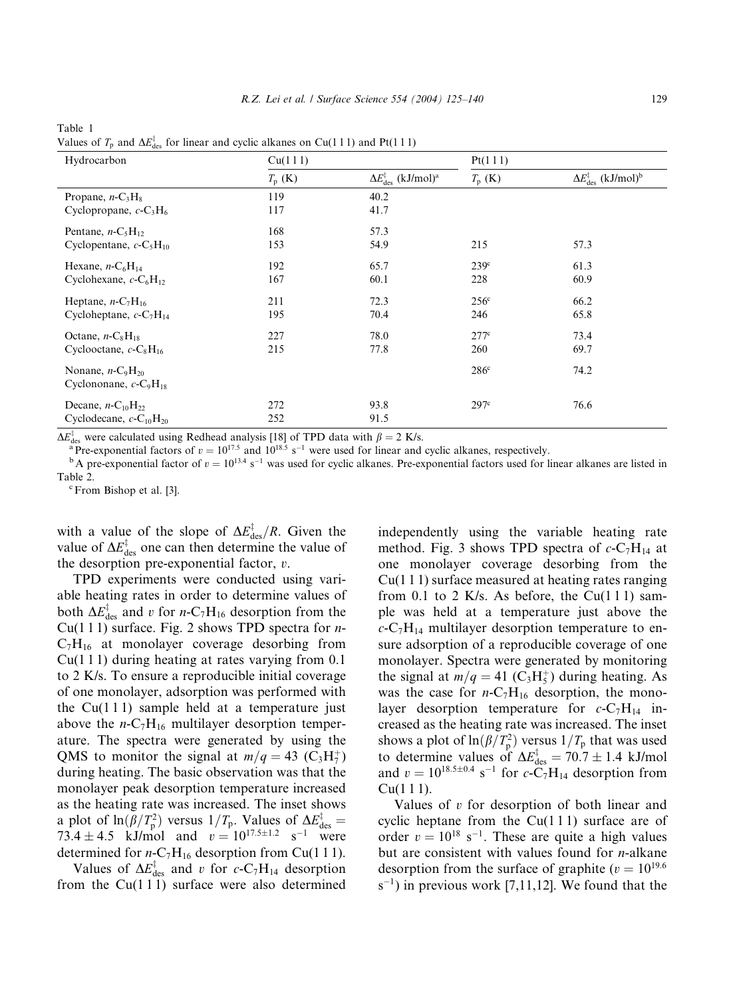| Hydrocarbon                                       | Cu(111)         |                                                       | Pt(111)          |                                                          |  |
|---------------------------------------------------|-----------------|-------------------------------------------------------|------------------|----------------------------------------------------------|--|
|                                                   | $T_{\rm p}$ (K) | $\Delta E_{\rm des}^{\ddagger}$ (kJ/mol) <sup>a</sup> | $T_{\rm p}$ (K)  | $\Delta E_{\text{des}}^{\ddagger}$ (kJ/mol) <sup>b</sup> |  |
| Propane, $n-C_3H_8$                               | 119             | 40.2                                                  |                  |                                                          |  |
| Cyclopropane, $c$ -C <sub>3</sub> H <sub>6</sub>  | 117             | 41.7                                                  |                  |                                                          |  |
| Pentane, $n-C_5H_{12}$                            | 168             | 57.3                                                  |                  |                                                          |  |
| Cyclopentane, $c$ -C <sub>5</sub> H <sub>10</sub> | 153             | 54.9                                                  | 215              | 57.3                                                     |  |
| Hexane, $n-C_6H_{14}$                             | 192             | 65.7                                                  | 239 <sup>c</sup> | 61.3                                                     |  |
| Cyclohexane, $c$ -C <sub>6</sub> H <sub>12</sub>  | 167             | 60.1                                                  | 228              | 60.9                                                     |  |
| Heptane, $n-C_7H_{16}$                            | 211             | 72.3                                                  | $256^{\circ}$    | 66.2                                                     |  |
| Cycloheptane, $c$ -C <sub>7</sub> H <sub>14</sub> | 195             | 70.4                                                  | 246              | 65.8                                                     |  |
| Octane, $n-C_8H_{18}$                             | 227             | 78.0                                                  | 277c             | 73.4                                                     |  |
| Cyclooctane, $c$ -C <sub>8</sub> H <sub>16</sub>  | 215             | 77.8                                                  | 260              | 69.7                                                     |  |
| Nonane, $n-C9H20$                                 |                 |                                                       | 286c             | 74.2                                                     |  |
| Cyclononane, $c$ -C <sub>9</sub> H <sub>18</sub>  |                 |                                                       |                  |                                                          |  |
| Decane, $n-C_{10}H_{22}$                          | 272             | 93.8                                                  | 297 <sup>c</sup> | 76.6                                                     |  |
| Cyclodecane, $c$ -C <sub>10</sub> H <sub>20</sub> | 252             | 91.5                                                  |                  |                                                          |  |

Table 1 Values of  $T_p$  and  $\Delta E_{\text{des}}^{\ddagger}$  for linear and cyclic alkanes on Cu(111) and Pt(111)

 $\Delta E_{\text{des}}^{\ddagger}$  were calculated using Redhead analysis [18] of TPD data with  $\beta = 2$  K/s.

 $\frac{N_{\text{des}}^2}{\text{des}}$  were calculated using Redhead analysis [18] of TPD data with  $\beta = 2$  K/s.<br><sup>a</sup> Pre-exponential factors of  $v = 10^{17.5}$  and 10<sup>18.5</sup> s<sup>-1</sup> were used for linear and cyclic alkanes, respectively.

 $b$ A pre-exponential factor of  $v = 10^{13.4}$  s<sup>-1</sup> was used for cyclic alkanes. Pre-exponential factors used for linear alkanes are listed in Table 2.

<sup>c</sup> From Bishop et al. [3].

with a value of the slope of  $\Delta E_{\text{des}}^{\dagger}/R$ . Given the value of  $\Delta E_{\text{des}}^{\dagger}$  one can then determine the value of the desorption pre-exponential factor,  $v$ .

TPD experiments were conducted using variable heating rates in order to determine values of both  $\Delta E_{\text{des}}^{\ddagger}$  and v for n-C<sub>7</sub>H<sub>16</sub> desorption from the Cu(1 1 1) surface. Fig. 2 shows TPD spectra for  $n C_7H_{16}$  at monolayer coverage desorbing from  $Cu(111)$  during heating at rates varying from 0.1 to 2 K/s. To ensure a reproducible initial coverage of one monolayer, adsorption was performed with the  $Cu(111)$  sample held at a temperature just above the  $n-C_7H_{16}$  multilayer desorption temperature. The spectra were generated by using the QMS to monitor the signal at  $m/q = 43$  (C<sub>3</sub>H<sub>7</sub><sup>+</sup>) during heating. The basic observation was that the monolayer peak desorption temperature increased as the heating rate was increased. The inset shows a plot of  $\ln(\beta/T_p^2)$  versus  $1/T_p$ . Values of  $\Delta E_{\text{des}}^{\dagger} =$ 73.4  $\pm$  4.5 kJ/mol and  $v = 10^{17.5 \pm 1.2}$  s<sup>-1</sup> were determined for  $n-C_7H_{16}$  desorption from Cu(111).

Values of  $\Delta E_{\text{des}}^{\dagger}$  and v for  $c$ -C<sub>7</sub>H<sub>14</sub> desorption from the  $Cu(111)$  surface were also determined independently using the variable heating rate method. Fig. 3 shows TPD spectra of  $c$ -C<sub>7</sub>H<sub>14</sub> at one monolayer coverage desorbing from the  $Cu(1\ 1\ 1)$  surface measured at heating rates ranging from 0.1 to 2 K/s. As before, the Cu(111) sample was held at a temperature just above the  $c$ -C<sub>7</sub>H<sub>14</sub> multilayer desorption temperature to ensure adsorption of a reproducible coverage of one monolayer. Spectra were generated by monitoring the signal at  $m/q = 41$  (C<sub>3</sub>H<sub>5</sub><sup> $+$ </sup>) during heating. As was the case for  $n-C_7H_{16}$  desorption, the monolayer desorption temperature for  $c$ -C<sub>7</sub>H<sub>14</sub> increased as the heating rate was increased. The inset shows a plot of  $\ln(\beta/T_p^2)$  versus  $1/T_p$  that was used to determine values of  $\Delta E_{\text{des}}^{\dagger} = 70.7 \pm 1.4$  kJ/mol and  $v = 10^{18.5 \pm 0.4}$  s<sup>-1</sup> for c-C<sub>7</sub>H<sub>14</sub> desorption from  $Cu(111)$ .

Values of  $v$  for desorption of both linear and cyclic heptane from the  $Cu(111)$  surface are of order  $v = 10^{18}$  s<sup>-1</sup>. These are quite a high values but are consistent with values found for  $n$ -alkane desorption from the surface of graphite ( $v = 10^{19.6}$ )  $(s^{-1})$  in previous work [7,11,12]. We found that the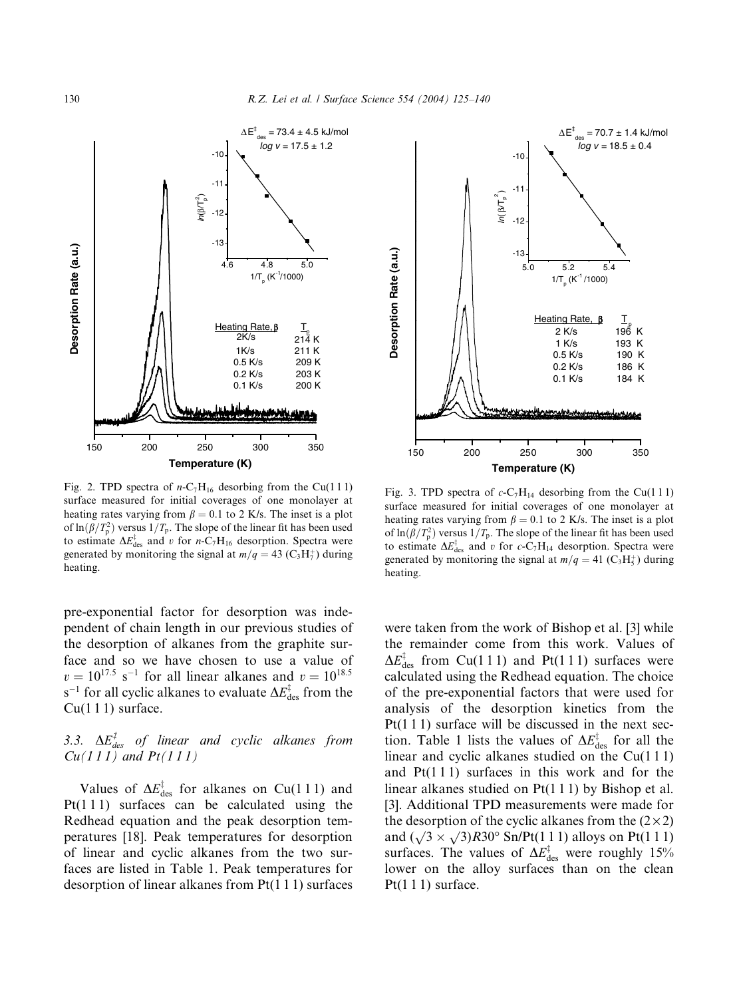

Fig. 2. TPD spectra of  $n-C_7H_{16}$  desorbing from the Cu(111) surface measured for initial coverages of one monolayer at heating rates varying from  $\beta = 0.1$  to 2 K/s. The inset is a plot of  $\ln(\beta/T_p^2)$  versus  $1/T_p$ . The slope of the linear fit has been used to estimate  $\Delta E_{\text{des}}^{\ddagger}$  and v for n-C<sub>7</sub>H<sub>16</sub> desorption. Spectra were generated by monitoring the signal at  $m/q = 43$  (C<sub>3</sub>H<sub>7</sub><sup>+</sup>) during heating.

pre-exponential factor for desorption was independent of chain length in our previous studies of the desorption of alkanes from the graphite surface and so we have chosen to use a value of  $v = 10^{17.5}$  s<sup>-1</sup> for all linear alkanes and  $v = 10^{18.5}$ s<sup>-1</sup> for all cyclic alkanes to evaluate  $\Delta E_{\rm des}^{\ddagger}$  from the  $Cu(111)$  surface.

# 3.3.  $\Delta E_{des}^{\ddagger}$  of linear and cyclic alkanes from  $Cu(111)$  and  $Pt(111)$

Values of  $\Delta E_{\text{des}}^{\dagger}$  for alkanes on Cu(111) and Pt( $111$ ) surfaces can be calculated using the Redhead equation and the peak desorption temperatures [18]. Peak temperatures for desorption of linear and cyclic alkanes from the two surfaces are listed in Table 1. Peak temperatures for desorption of linear alkanes from Pt(1 1 1) surfaces



Fig. 3. TPD spectra of  $c$ -C<sub>7</sub>H<sub>14</sub> desorbing from the Cu(111) surface measured for initial coverages of one monolayer at heating rates varying from  $\beta = 0.1$  to 2 K/s. The inset is a plot of  $\ln(\beta/T_{\rm p}^2)$  versus  $1/T_{\rm p}$ . The slope of the linear fit has been used to estimate  $\Delta E_{\text{des}}^{\ddagger}$  and v for c-C<sub>7</sub>H<sub>14</sub> desorption. Spectra were generated by monitoring the signal at  $m/q = 41$  (C<sub>3</sub>H<sub>5</sub><sup>+</sup>) during heating.

were taken from the work of Bishop et al. [3] while the remainder come from this work. Values of  $\Delta E_{\text{des}}^{\ddagger}$  from Cu(111) and Pt(111) surfaces were calculated using the Redhead equation. The choice of the pre-exponential factors that were used for analysis of the desorption kinetics from the  $Pt(1\ 1\ 1)$  surface will be discussed in the next section. Table 1 lists the values of  $\Delta E_{\text{des}}^{\ddagger}$  for all the linear and cyclic alkanes studied on the  $Cu(111)$ and  $Pt(111)$  surfaces in this work and for the linear alkanes studied on Pt(1 1 1) by Bishop et al. [3]. Additional TPD measurements were made for the desorption of the cyclic alkanes from the  $(2 \times 2)$ and  $(\sqrt{3} \times \sqrt{3})R30^\circ$  Sn/Pt(1 1 1) alloys on Pt(1 1 1) surfaces. The values of  $\Delta E_{\text{des}}^{\ddagger}$  were roughly 15% lower on the alloy surfaces than on the clean Pt $(1 1 1)$  surface.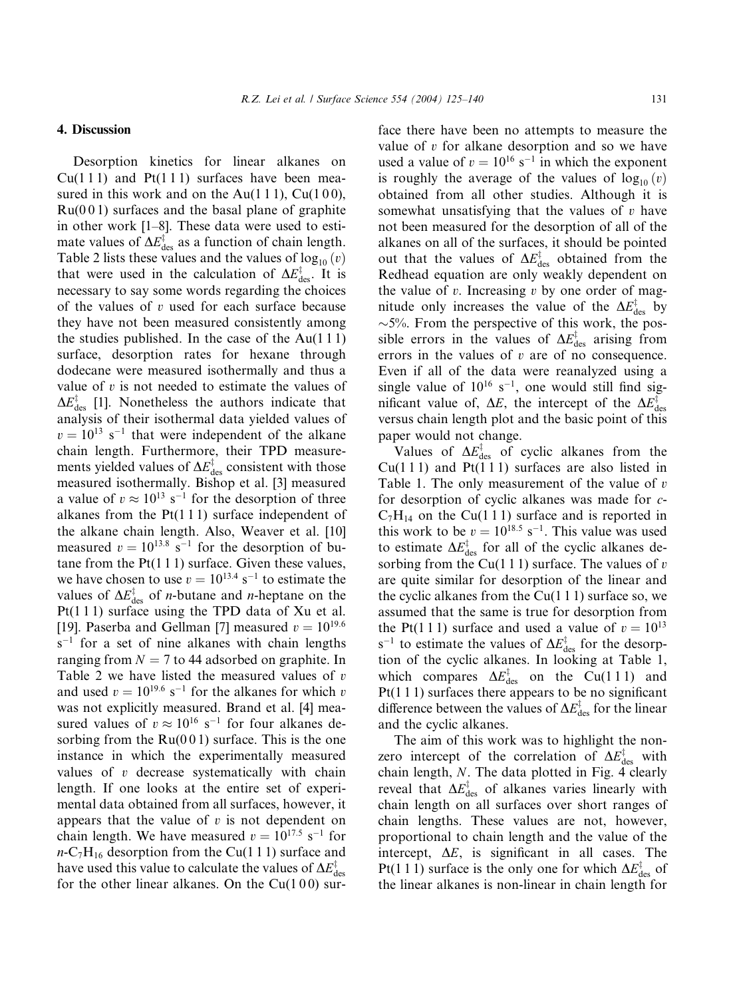4. Discussion

Desorption kinetics for linear alkanes on  $Cu(111)$  and  $Pt(111)$  surfaces have been measured in this work and on the Au(111), Cu(100),  $Ru(001)$  surfaces and the basal plane of graphite in other work [1–8]. These data were used to estimate values of  $\Delta E_{\text{des}}^{\ddagger}$  as a function of chain length. Table 2 lists these values and the values of  $log_{10}(v)$ that were used in the calculation of  $\Delta E_{\text{des}}^{\ddagger}$ . It is necessary to say some words regarding the choices of the values of  $v$  used for each surface because they have not been measured consistently among the studies published. In the case of the  $Au(111)$ surface, desorption rates for hexane through dodecane were measured isothermally and thus a value of  $v$  is not needed to estimate the values of  $\Delta E_{\text{des}}^{\dagger}$  [1]. Nonetheless the authors indicate that analysis of their isothermal data yielded values of  $v = 10^{13}$  s<sup>-1</sup> that were independent of the alkane chain length. Furthermore, their TPD measurements yielded values of  $\Delta E_{\rm des}^{\ddagger}$  consistent with those measured isothermally. Bishop et al. [3] measured a value of  $v \approx 10^{13}$  s<sup>-1</sup> for the desorption of three alkanes from the  $Pt(1\ 1\ 1)$  surface independent of the alkane chain length. Also, Weaver et al. [10] measured  $v = 10^{13.8}$  s<sup>-1</sup> for the desorption of butane from the  $Pt(1\ 1\ 1)$  surface. Given these values, we have chosen to use  $v = 10^{13.4}$  s<sup>-1</sup> to estimate the values of  $\Delta E_{\text{des}}^{\dagger}$  of *n*-butane and *n*-heptane on the Pt(1 1 1) surface using the TPD data of Xu et al. [19]. Paserba and Gellman [7] measured  $v = 10^{19.6}$  $s^{-1}$  for a set of nine alkanes with chain lengths ranging from  $N = 7$  to 44 adsorbed on graphite. In Table 2 we have listed the measured values of  $v$ and used  $v = 10^{19.6}$  s<sup>-1</sup> for the alkanes for which v was not explicitly measured. Brand et al. [4] measured values of  $v \approx 10^{16}$  s<sup>-1</sup> for four alkanes desorbing from the  $Ru(001)$  surface. This is the one instance in which the experimentally measured values of  $v$  decrease systematically with chain length. If one looks at the entire set of experimental data obtained from all surfaces, however, it appears that the value of  $v$  is not dependent on chain length. We have measured  $v = 10^{17.5}$  s<sup>-1</sup> for  $n-C_7H_{16}$  desorption from the Cu(111) surface and have used this value to calculate the values of  $\Delta E_{\rm des}^{\ddag}$ for the other linear alkanes. On the  $Cu(100)$  surface there have been no attempts to measure the value of v for alkane desorption and so we have used a value of  $v = 10^{16}$  s<sup>-1</sup> in which the exponent is roughly the average of the values of  $log_{10}(v)$ obtained from all other studies. Although it is somewhat unsatisfying that the values of  $v$  have not been measured for the desorption of all of the alkanes on all of the surfaces, it should be pointed out that the values of  $\Delta E_{\text{des}}^{\dagger}$  obtained from the Redhead equation are only weakly dependent on the value of  $v$ . Increasing  $v$  by one order of magnitude only increases the value of the  $\Delta E_{\rm des}^{\ddagger}$  by  $\sim$ 5%. From the perspective of this work, the possible errors in the values of  $\Delta E_{\text{des}}^{\dagger}$  arising from errors in the values of  $v$  are of no consequence. Even if all of the data were reanalyzed using a single value of  $10^{16}$  s<sup>-1</sup>, one would still find significant value of,  $\Delta E$ , the intercept of the  $\Delta E_{\text{des}}^{\ddagger}$ versus chain length plot and the basic point of this paper would not change.

Values of  $\Delta E_{\text{des}}^{\dagger}$  of cyclic alkanes from the  $Cu(111)$  and  $Pt(111)$  surfaces are also listed in Table 1. The only measurement of the value of  $v$ for desorption of cyclic alkanes was made for c- $C_7H_{14}$  on the Cu(111) surface and is reported in this work to be  $v = 10^{18.5}$  s<sup>-1</sup>. This value was used to estimate  $\Delta E_{\text{des}}^{\ddagger}$  for all of the cyclic alkanes desorbing from the Cu(1 1 1) surface. The values of  $v$ are quite similar for desorption of the linear and the cyclic alkanes from the  $Cu(111)$  surface so, we assumed that the same is true for desorption from the Pt(1 1 1) surface and used a value of  $v = 10^{13}$ s<sup>-1</sup> to estimate the values of  $\Delta E_{\text{des}}^{\ddagger}$  for the desorption of the cyclic alkanes. In looking at Table 1, which compares  $\Delta E_{\text{des}}^{\dagger}$  on the Cu(111) and Pt(1 1 1) surfaces there appears to be no significant difference between the values of  $\Delta E_{\rm des}^{\ddagger}$  for the linear and the cyclic alkanes.

The aim of this work was to highlight the nonzero intercept of the correlation of  $\Delta E_{\rm des}^{\ddagger}$  with chain length, N. The data plotted in Fig. 4 clearly reveal that  $\Delta E_{\text{des}}^{\dagger}$  of alkanes varies linearly with chain length on all surfaces over short ranges of chain lengths. These values are not, however, proportional to chain length and the value of the intercept,  $\Delta E$ , is significant in all cases. The Pt(1 1 1) surface is the only one for which  $\Delta E_{\text{des}}^{\dagger}$  of the linear alkanes is non-linear in chain length for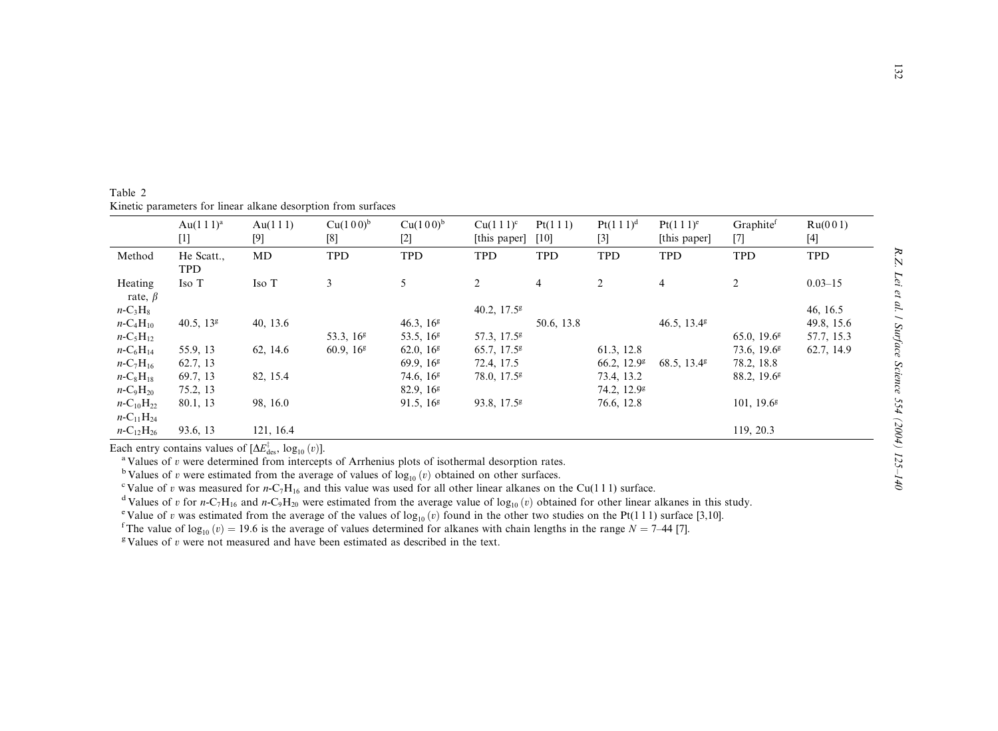Table 2 Kinetic parameters for linear alkane desorption from surfaces

|                    | Au $(1\ 1\ 1)^a$ | Au(111)   | $Cu(100)^{b}$         | $Cu(100)^{b}$         | $Cu(111)^c$               | Pt(111)        | $Pt(1\ 1\ 1)^d$ | $Pt(1\ 1\ 1)^e$      | Graphitef                 | Ru(001)     |
|--------------------|------------------|-----------|-----------------------|-----------------------|---------------------------|----------------|-----------------|----------------------|---------------------------|-------------|
|                    |                  | $[9]$     | [8]                   | $[2]$                 | [this paper]              | [10]           | $[3]$           | [this paper]         | $[7]$                     | $[4]$       |
| Method             | He Scatt.,       | MD        | <b>TPD</b>            | <b>TPD</b>            | <b>TPD</b>                | <b>TPD</b>     | <b>TPD</b>      | <b>TPD</b>           | <b>TPD</b>                | <b>TPD</b>  |
|                    | <b>TPD</b>       |           |                       |                       |                           |                |                 |                      |                           |             |
| Heating            | Iso T            | Iso T     | 3                     | 5                     | $\overline{2}$            | $\overline{4}$ | $\overline{2}$  | $\overline{4}$       | $\overline{2}$            | $0.03 - 15$ |
| rate, $\beta$      |                  |           |                       |                       |                           |                |                 |                      |                           |             |
| $n-C_3H_8$         |                  |           |                       |                       | 40.2, $17.5^{\circ}$      |                |                 |                      |                           | 46, 16.5    |
| $n - C_4H_{10}$    | 40.5, $13g$      | 40, 13.6  |                       | 46.3, $16g$           |                           | 50.6, 13.8     |                 | 46.5, $13.4^{\circ}$ |                           | 49.8, 15.6  |
| $n - C_5H_{12}$    |                  |           | 53.3.16 $\frac{8}{3}$ | 53.5, $16g$           | 57.3, 17.5 <sup>g</sup>   |                |                 |                      | $65.0, 19.6$ <sup>g</sup> | 57.7, 15.3  |
| $n - C_6H_{14}$    | 55.9, 13         | 62, 14.6  | 60.9, $16g$           | 62.0, 16 <sup>g</sup> | $65.7, 17.5$ <sup>g</sup> |                | 61.3, 12.8      |                      | $73.6, 19.6$ <sup>g</sup> | 62.7, 14.9  |
| $n - C_7H_{16}$    | 62.7, 13         |           |                       | 69.9.16 $\frac{8}{3}$ | 72.4, 17.5                |                | 66.2, $12.9^g$  | 68.5, $13.4^{\circ}$ | 78.2, 18.8                |             |
| $n-C_8H_{18}$      | 69.7, 13         | 82, 15.4  |                       | 74.6, $16^g$          | 78.0, 17.5 <sup>g</sup>   |                | 73.4, 13.2      |                      | $88.2, 19.6$ <sup>g</sup> |             |
| $n - C_9H_{20}$    | 75.2, 13         |           |                       | 82.9, 16 <sup>g</sup> |                           |                | 74.2, $12.9^g$  |                      |                           |             |
| $n - C_{10}H_{22}$ | 80.1, 13         | 98, 16.0  |                       | 91.5, $16g$           | 93.8, $17.5^g$            |                | 76.6, 12.8      |                      | 101, $19.6^g$             |             |
| $n - C_{11}H_{24}$ |                  |           |                       |                       |                           |                |                 |                      |                           |             |
| $n - C_{12}H_{26}$ | 93.6, 13         | 121, 16.4 |                       |                       |                           |                |                 |                      | 119, 20.3                 |             |

Each entry contains values of  $[\Delta E_{\text{des}}^{\dagger}, \log_{10}(v)]$ .

<sup>a</sup> Values of v were determined from intercepts of Arrhenius plots of isothermal desorption rates.

<sup>b</sup> Values of v were estimated from the average of values of  $log_{10}(v)$  obtained on other surfaces.

<sup>c</sup> Value of v was measured for n-C<sub>7</sub>H<sub>16</sub> and this value was used for all other linear alkanes on the Cu(111) surface.

<sup>d</sup> Values of v for n-C<sub>7</sub>H<sub>16</sub> and n-C<sub>9</sub>H<sub>20</sub> were estimated from the average value of log<sub>10</sub> (v) obtained for other linear alkanes in this study.

<sup>e</sup> Value of v was estimated from the average of the values of  $\log_{10}(v)$  found in the other two studies on the Pt(111) surface [3,10].

<sup>f</sup>The value of log<sub>10</sub>  $(v) = 19.6$  is the average of values determined for alkanes with chain lengths in the range  $N = 7-44$  [7].

<sup>g</sup> Values of v were not measured and have been estimated as described in the text.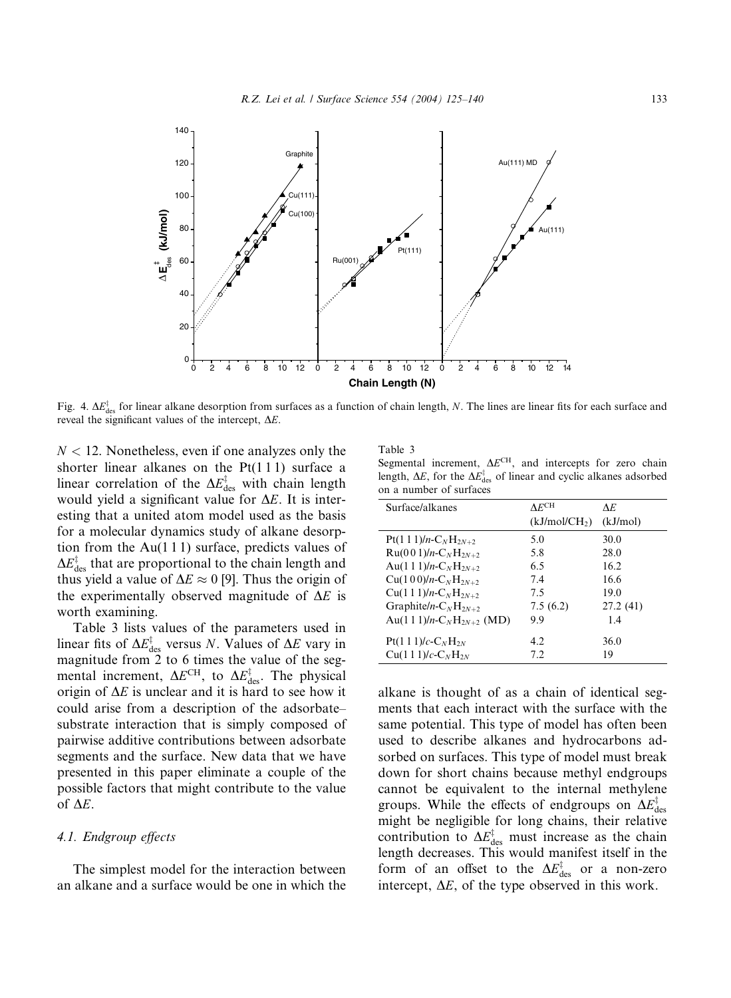

Fig. 4.  $\Delta E_{\text{des}}^{\ddagger}$  for linear alkane desorption from surfaces as a function of chain length, N. The lines are linear fits for each surface and reveal the significant values of the intercept,  $\Delta E$ .

 $N < 12$ . Nonetheless, even if one analyzes only the shorter linear alkanes on the  $Pt(111)$  surface a linear correlation of the  $\Delta E_{\text{des}}^{\dagger}$  with chain length would yield a significant value for  $\Delta E$ . It is interesting that a united atom model used as the basis for a molecular dynamics study of alkane desorption from the  $Au(111)$  surface, predicts values of  $\Delta E_{\rm des}^{\ddagger}$  that are proportional to the chain length and thus yield a value of  $\Delta E \approx 0$  [9]. Thus the origin of the experimentally observed magnitude of  $\Delta E$  is worth examining.

Table 3 lists values of the parameters used in linear fits of  $\Delta E_{\text{des}}^{\ddagger}$  versus N. Values of  $\Delta E$  vary in magnitude from 2 to 6 times the value of the segmental increment,  $\Delta E^{\text{CH}}$ , to  $\Delta E_{\text{des}}^{\ddagger}$ . The physical origin of  $\Delta E$  is unclear and it is hard to see how it could arise from a description of the adsorbate– substrate interaction that is simply composed of pairwise additive contributions between adsorbate segments and the surface. New data that we have presented in this paper eliminate a couple of the possible factors that might contribute to the value of  $\Delta E$ .

## 4.1. Endgroup effects

The simplest model for the interaction between an alkane and a surface would be one in which the

Table 3

Segmental increment,  $\Delta E^{CH}$ , and intercepts for zero chain length,  $\Delta E$ , for the  $\Delta E_{\text{des}}^{\ddagger}$  of linear and cyclic alkanes adsorbed on a number of surfaces

| Surface/alkanes                                   | $\Lambda$ <sub>E</sub> CH | ΛE       |
|---------------------------------------------------|---------------------------|----------|
|                                                   | (kJ/mol/CH <sub>2</sub> ) | (kJ/mol) |
| $Pt(1\ 1\ 1)/n-C_NH_{2N+2}$                       | 5.0                       | 30.0     |
| $Ru(001)/n-C_NH_{2N+2}$                           | 5.8                       | 28.0     |
| Au(1 1 1)/n-C <sub>N</sub> H <sub>2N+2</sub>      | 65                        | 162      |
| $Cu(100)/n-C_NH_{2N+2}$                           | 7.4                       | 16.6     |
| $Cu(111)/n-C_NH_{2N+2}$                           | 7.5                       | 19.0     |
| Graphite/n- $C_NH_{2N+2}$                         | 7.5(6.2)                  | 27.2(41) |
| Au(1 1 1)/n-C <sub>N</sub> H <sub>2N+2</sub> (MD) | 99                        | 1.4      |
| $Pt(1\ 1\ 1)/c$ - $C_NH_{2N}$                     | 42                        | 36.0     |
| $Cu(111)/c-CNH2N$                                 | 72                        | 19       |

alkane is thought of as a chain of identical segments that each interact with the surface with the same potential. This type of model has often been used to describe alkanes and hydrocarbons adsorbed on surfaces. This type of model must break down for short chains because methyl endgroups cannot be equivalent to the internal methylene groups. While the effects of endgroups on  $\Delta E_{\rm des}^{\ddag}$ might be negligible for long chains, their relative contribution to  $\Delta E_{\text{des}}^{\ddagger}$  must increase as the chain length decreases. This would manifest itself in the form of an offset to the  $\Delta E_{\text{des}}^{\ddagger}$  or a non-zero intercept,  $\Delta E$ , of the type observed in this work.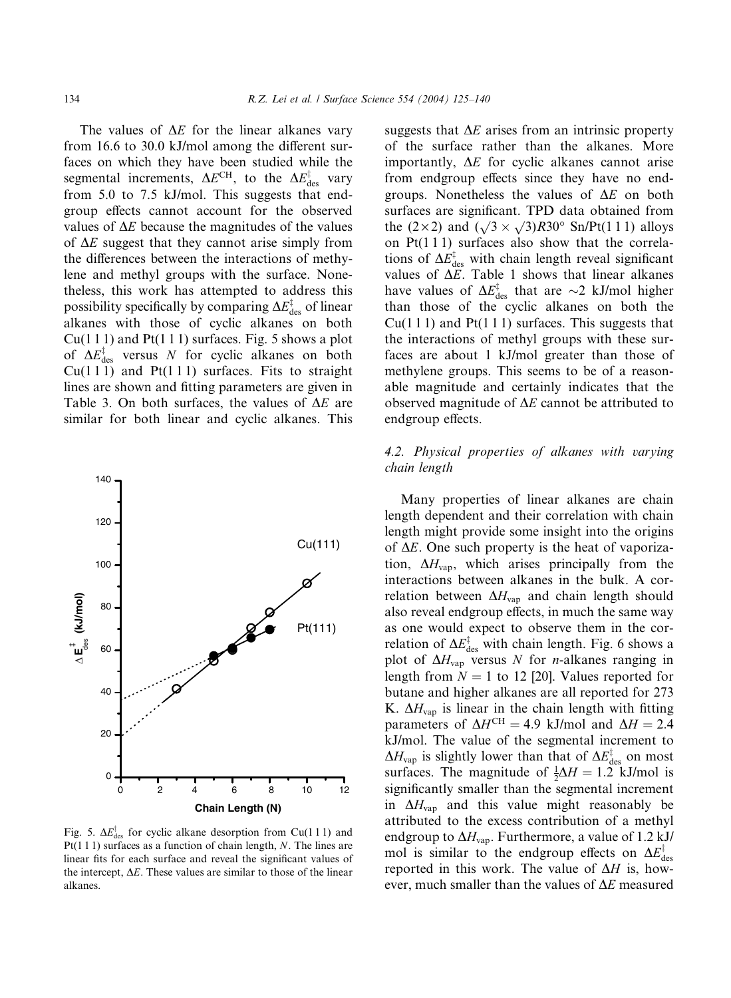The values of  $\Delta E$  for the linear alkanes vary from 16.6 to 30.0 kJ/mol among the different surfaces on which they have been studied while the segmental increments,  $\Delta E^{\text{CH}}$ , to the  $\Delta E_{\text{des}}^{\ddagger}$  vary from 5.0 to 7.5 kJ/mol. This suggests that endgroup effects cannot account for the observed values of  $\Delta E$  because the magnitudes of the values of  $\Delta E$  suggest that they cannot arise simply from the differences between the interactions of methylene and methyl groups with the surface. Nonetheless, this work has attempted to address this possibility specifically by comparing  $\Delta E_{\rm des}^{\ddagger}$  of linear alkanes with those of cyclic alkanes on both  $Cu(1\ 1\ 1)$  and Pt $(1\ 1\ 1)$  surfaces. Fig. 5 shows a plot of  $\Delta E_{\text{des}}^{\dagger}$  versus N for cyclic alkanes on both  $Cu(111)$  and  $Pt(111)$  surfaces. Fits to straight lines are shown and fitting parameters are given in Table 3. On both surfaces, the values of  $\Delta E$  are similar for both linear and cyclic alkanes. This



Fig. 5.  $\Delta E_{\text{des}}^{\dagger}$  for cyclic alkane desorption from Cu(111) and  $Pt(1 1 1)$  surfaces as a function of chain length, N. The lines are linear fits for each surface and reveal the significant values of the intercept,  $\Delta E$ . These values are similar to those of the linear alkanes.

suggests that  $\Delta E$  arises from an intrinsic property of the surface rather than the alkanes. More importantly,  $\Delta E$  for cyclic alkanes cannot arise from endgroup effects since they have no endgroups. Nonetheless the values of  $\Delta E$  on both surfaces are significant. TPD data obtained from the  $(2\times 2)$  and  $(\sqrt{3} \times \sqrt{3})R30^\circ$  Sn/Pt(1 1 1) alloys on  $Pt(111)$  surfaces also show that the correlations of  $\Delta E_{\text{des}}^{\ddagger}$  with chain length reveal significant values of  $\Delta E$ . Table 1 shows that linear alkanes have values of  $\Delta E_{\text{des}}^{\ddagger}$  that are  $\sim$ 2 kJ/mol higher than those of the cyclic alkanes on both the  $Cu(111)$  and  $Pt(111)$  surfaces. This suggests that the interactions of methyl groups with these surfaces are about 1 kJ/mol greater than those of methylene groups. This seems to be of a reasonable magnitude and certainly indicates that the observed magnitude of  $\Delta E$  cannot be attributed to endgroup effects.

## 4.2. Physical properties of alkanes with varying chain length

Many properties of linear alkanes are chain length dependent and their correlation with chain length might provide some insight into the origins of  $\Delta E$ . One such property is the heat of vaporization,  $\Delta H_{\text{vap}}$ , which arises principally from the interactions between alkanes in the bulk. A correlation between  $\Delta H_{\text{vap}}$  and chain length should also reveal endgroup effects, in much the same way as one would expect to observe them in the correlation of  $\Delta E_{\text{des}}^{\ddagger}$  with chain length. Fig. 6 shows a plot of  $\Delta H_{\text{vap}}$  versus N for *n*-alkanes ranging in length from  $N = 1$  to 12 [20]. Values reported for butane and higher alkanes are all reported for 273 K.  $\Delta H_{\text{vap}}$  is linear in the chain length with fitting parameters of  $\Delta H^{\text{CH}} = 4.9$  kJ/mol and  $\Delta H = 2.4$ kJ/mol. The value of the segmental increment to  $\Delta H_{\rm vap}$  is slightly lower than that of  $\Delta E_{\rm des}^{\ddagger}$  on most surfaces. The magnitude of  $\frac{1}{2}\Delta H = 1.2$  kJ/mol is significantly smaller than the segmental increment in  $\Delta H_{\text{van}}$  and this value might reasonably be attributed to the excess contribution of a methyl endgroup to  $\Delta H_{\text{vap}}$ . Furthermore, a value of 1.2 kJ/ mol is similar to the endgroup effects on  $\Delta E_{\rm des}^{\ddagger}$ reported in this work. The value of  $\Delta H$  is, however, much smaller than the values of  $\Delta E$  measured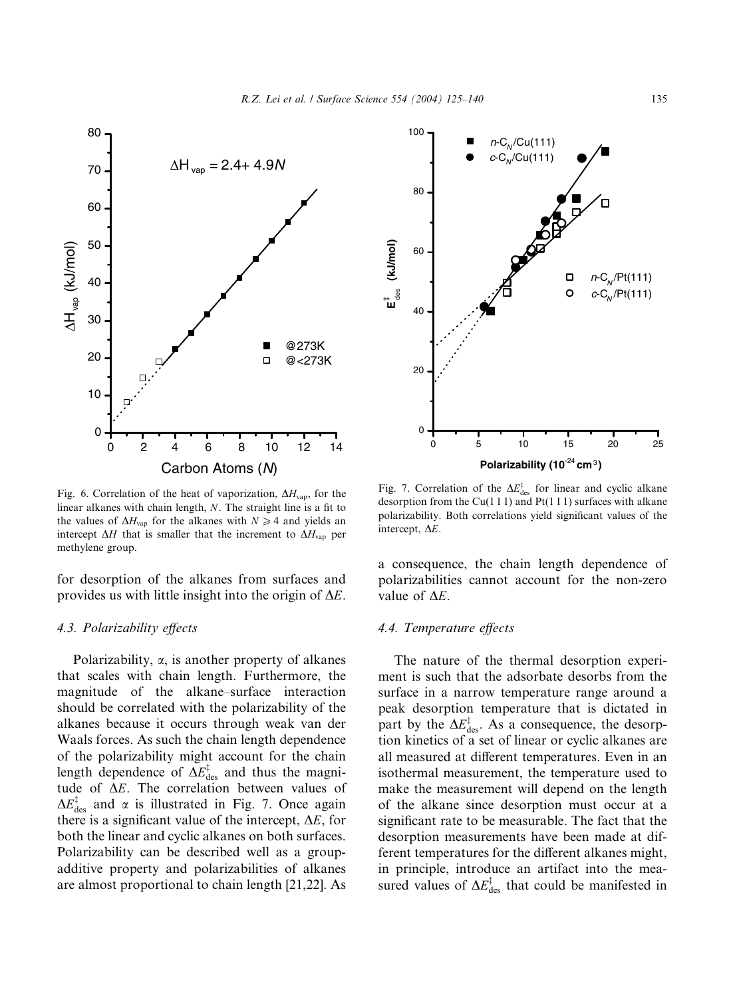

Fig. 6. Correlation of the heat of vaporization,  $\Delta H_{\text{vap}}$ , for the linear alkanes with chain length, N. The straight line is a fit to the values of  $\Delta H_{\text{vap}}$  for the alkanes with  $N \geq 4$  and yields an intercept  $\Delta H$  that is smaller that the increment to  $\Delta H_{\text{vap}}$  per methylene group.

for desorption of the alkanes from surfaces and provides us with little insight into the origin of  $\Delta E$ .

## 4.3. Polarizability effects

Polarizability,  $\alpha$ , is another property of alkanes that scales with chain length. Furthermore, the magnitude of the alkane–surface interaction should be correlated with the polarizability of the alkanes because it occurs through weak van der Waals forces. As such the chain length dependence of the polarizability might account for the chain length dependence of  $\Delta E_{\text{des}}^{\ddagger}$  and thus the magnitude of  $\Delta E$ . The correlation between values of  $\Delta E_{\text{des}}^{\dagger}$  and  $\alpha$  is illustrated in Fig. 7. Once again there is a significant value of the intercept,  $\Delta E$ , for both the linear and cyclic alkanes on both surfaces. Polarizability can be described well as a groupadditive property and polarizabilities of alkanes are almost proportional to chain length [21,22]. As



Fig. 7. Correlation of the  $\Delta E_{\text{des}}^{\ddagger}$  for linear and cyclic alkane desorption from the Cu(1 1 1) and Pt(1 1 1) surfaces with alkane polarizability. Both correlations yield significant values of the intercept,  $\Delta E$ .

a consequence, the chain length dependence of polarizabilities cannot account for the non-zero value of  $\Delta E$ .

## 4.4. Temperature effects

The nature of the thermal desorption experiment is such that the adsorbate desorbs from the surface in a narrow temperature range around a peak desorption temperature that is dictated in part by the  $\Delta E_{\text{des}}^{\ddagger}$ . As a consequence, the desorption kinetics of a set of linear or cyclic alkanes are all measured at different temperatures. Even in an isothermal measurement, the temperature used to make the measurement will depend on the length of the alkane since desorption must occur at a significant rate to be measurable. The fact that the desorption measurements have been made at different temperatures for the different alkanes might, in principle, introduce an artifact into the measured values of  $\Delta E_{\text{des}}^{\dagger}$  that could be manifested in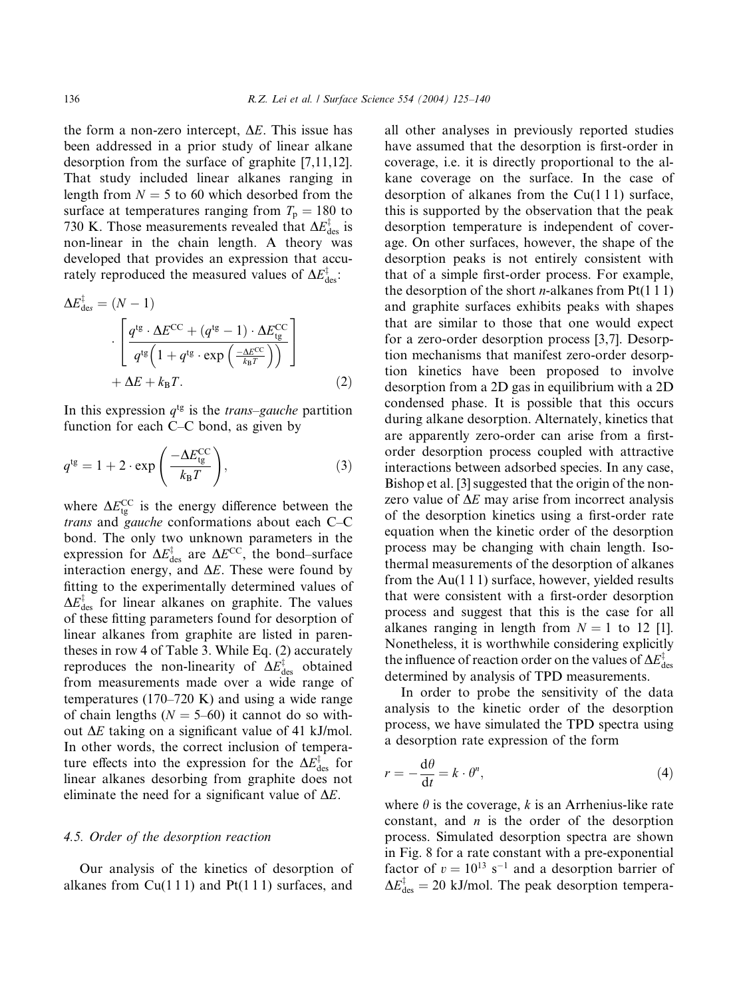the form a non-zero intercept,  $\Delta E$ . This issue has been addressed in a prior study of linear alkane desorption from the surface of graphite [7,11,12]. That study included linear alkanes ranging in length from  $N = 5$  to 60 which desorbed from the surface at temperatures ranging from  $T_p = 180$  to 730 K. Those measurements revealed that  $\Delta E_{\text{des}}^{\ddagger}$  is non-linear in the chain length. A theory was developed that provides an expression that accurately reproduced the measured values of  $\Delta E_{\text{des}}^{\ddagger}$ :

$$
\Delta E_{\text{des}}^{\ddagger} = (N - 1)
$$

$$
\cdot \left[ \frac{q^{\text{tg}} \cdot \Delta E^{\text{CC}} + (q^{\text{tg}} - 1) \cdot \Delta E_{\text{tg}}^{\text{CC}}}{q^{\text{tg}} \left( 1 + q^{\text{tg}} \cdot \exp\left(\frac{-\Delta E^{\text{CC}}}{k_{\text{B}} T}\right) \right)} \right]
$$

$$
+ \Delta E + k_{\text{B}} T. \tag{2}
$$

In this expression  $q^{tg}$  is the *trans–gauche* partition function for each C–C bond, as given by

$$
q^{\text{tg}} = 1 + 2 \cdot \exp\left(\frac{-\Delta E_{\text{tg}}^{\text{CC}}}{k_{\text{B}}T}\right),\tag{3}
$$

where  $\Delta E_{\text{tg}}^{\text{CC}}$  is the energy difference between the trans and gauche conformations about each C–C bond. The only two unknown parameters in the expression for  $\Delta E_{\text{des}}^{\dagger}$  are  $\Delta E^{\text{CC}}$ , the bond–surface interaction energy, and  $\Delta E$ . These were found by fitting to the experimentally determined values of  $\Delta E_{\text{des}}^{\ddagger}$  for linear alkanes on graphite. The values of these fitting parameters found for desorption of linear alkanes from graphite are listed in parentheses in row 4 of Table 3. While Eq. (2) accurately reproduces the non-linearity of  $\Delta E_{\text{des}}^{\dagger}$  obtained from measurements made over a wide range of temperatures (170–720 K) and using a wide range of chain lengths  $(N = 5{\text -}60)$  it cannot do so without  $\Delta E$  taking on a significant value of 41 kJ/mol. In other words, the correct inclusion of temperature effects into the expression for the  $\Delta E_{\rm des}^{\ddagger}$  for linear alkanes desorbing from graphite does not eliminate the need for a significant value of  $\Delta E$ .

## 4.5. Order of the desorption reaction

Our analysis of the kinetics of desorption of alkanes from  $Cu(111)$  and  $Pt(111)$  surfaces, and

all other analyses in previously reported studies have assumed that the desorption is first-order in coverage, i.e. it is directly proportional to the alkane coverage on the surface. In the case of desorption of alkanes from the  $Cu(111)$  surface, this is supported by the observation that the peak desorption temperature is independent of coverage. On other surfaces, however, the shape of the desorption peaks is not entirely consistent with that of a simple first-order process. For example, the desorption of the short *n*-alkanes from  $Pt(1\ 1\ 1)$ and graphite surfaces exhibits peaks with shapes that are similar to those that one would expect for a zero-order desorption process [3,7]. Desorption mechanisms that manifest zero-order desorption kinetics have been proposed to involve desorption from a 2D gas in equilibrium with a 2D condensed phase. It is possible that this occurs during alkane desorption. Alternately, kinetics that are apparently zero-order can arise from a firstorder desorption process coupled with attractive interactions between adsorbed species. In any case, Bishop et al. [3] suggested that the origin of the nonzero value of  $\Delta E$  may arise from incorrect analysis of the desorption kinetics using a first-order rate equation when the kinetic order of the desorption process may be changing with chain length. Isothermal measurements of the desorption of alkanes from the  $Au(111)$  surface, however, yielded results that were consistent with a first-order desorption process and suggest that this is the case for all alkanes ranging in length from  $N = 1$  to 12 [1]. Nonetheless, it is worthwhile considering explicitly the influence of reaction order on the values of  $\Delta E_{\rm des}^{\ddag}$ determined by analysis of TPD measurements.

In order to probe the sensitivity of the data analysis to the kinetic order of the desorption process, we have simulated the TPD spectra using a desorption rate expression of the form

$$
r = -\frac{\mathrm{d}\theta}{\mathrm{d}t} = k \cdot \theta^n,\tag{4}
$$

where  $\theta$  is the coverage, k is an Arrhenius-like rate constant, and  $n$  is the order of the desorption process. Simulated desorption spectra are shown in Fig. 8 for a rate constant with a pre-exponential factor of  $v = 10^{13}$  s<sup>-1</sup> and a desorption barrier of  $\Delta E_{\text{des}}^{\ddagger} = 20$  kJ/mol. The peak desorption tempera-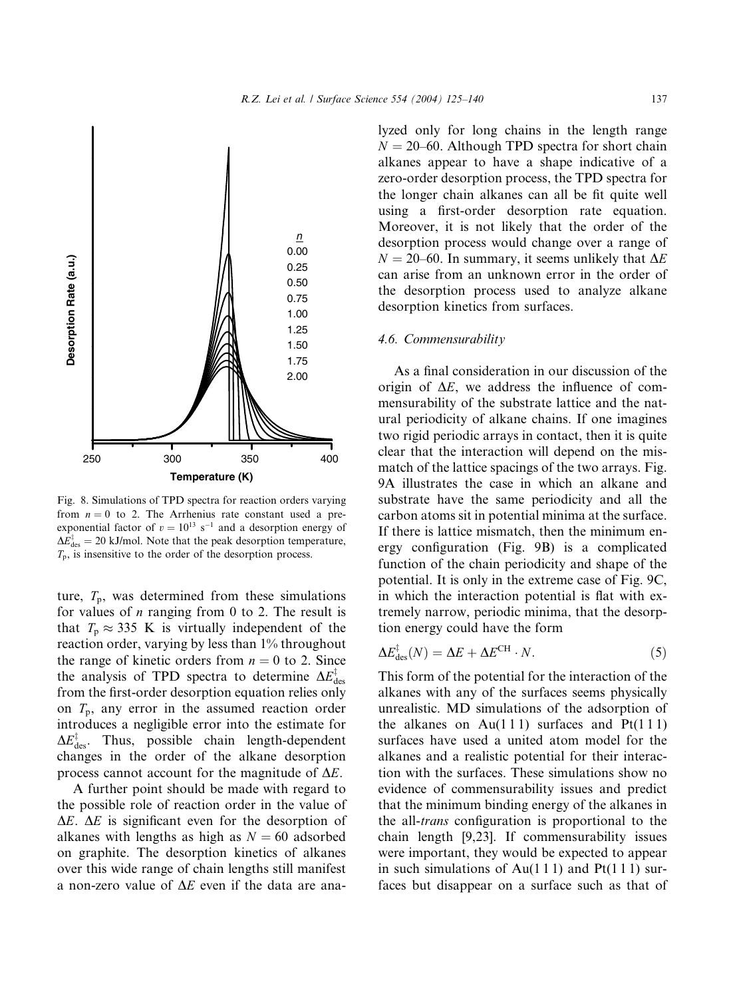

Fig. 8. Simulations of TPD spectra for reaction orders varying from  $n = 0$  to 2. The Arrhenius rate constant used a preexponential factor of  $v = 10^{13}$  s<sup>-1</sup> and a desorption energy of  $\Delta E_{\text{des}}^{\ddagger} = 20$  kJ/mol. Note that the peak desorption temperature,  $T_p$ , is insensitive to the order of the desorption process.

ture,  $T_p$ , was determined from these simulations for values of  $n$  ranging from 0 to 2. The result is that  $T_p \approx 335$  K is virtually independent of the reaction order, varying by less than 1% throughout the range of kinetic orders from  $n = 0$  to 2. Since the analysis of TPD spectra to determine  $\Delta E_{\rm des}^{\ddagger}$ from the first-order desorption equation relies only on  $T_p$ , any error in the assumed reaction order introduces a negligible error into the estimate for  $\Delta E_{\text{des}}^{\dagger}$ . Thus, possible chain length-dependent changes in the order of the alkane desorption process cannot account for the magnitude of  $\Delta E$ .

A further point should be made with regard to the possible role of reaction order in the value of  $\Delta E$ .  $\Delta E$  is significant even for the desorption of alkanes with lengths as high as  $N = 60$  adsorbed on graphite. The desorption kinetics of alkanes over this wide range of chain lengths still manifest a non-zero value of  $\Delta E$  even if the data are analyzed only for long chains in the length range  $N = 20-60$ . Although TPD spectra for short chain alkanes appear to have a shape indicative of a zero-order desorption process, the TPD spectra for the longer chain alkanes can all be fit quite well using a first-order desorption rate equation. Moreover, it is not likely that the order of the desorption process would change over a range of  $N = 20-60$ . In summary, it seems unlikely that  $\Delta E$ can arise from an unknown error in the order of the desorption process used to analyze alkane desorption kinetics from surfaces.

## 4.6. Commensurability

As a final consideration in our discussion of the origin of  $\Delta E$ , we address the influence of commensurability of the substrate lattice and the natural periodicity of alkane chains. If one imagines two rigid periodic arrays in contact, then it is quite clear that the interaction will depend on the mismatch of the lattice spacings of the two arrays. Fig. 9A illustrates the case in which an alkane and substrate have the same periodicity and all the carbon atoms sit in potential minima at the surface. If there is lattice mismatch, then the minimum energy configuration (Fig. 9B) is a complicated function of the chain periodicity and shape of the potential. It is only in the extreme case of Fig. 9C, in which the interaction potential is flat with extremely narrow, periodic minima, that the desorption energy could have the form

$$
\Delta E_{\rm des}^{\ddagger}(N) = \Delta E + \Delta E^{\rm CH} \cdot N. \tag{5}
$$

This form of the potential for the interaction of the alkanes with any of the surfaces seems physically unrealistic. MD simulations of the adsorption of the alkanes on  $Au(111)$  surfaces and  $Pt(111)$ surfaces have used a united atom model for the alkanes and a realistic potential for their interaction with the surfaces. These simulations show no evidence of commensurability issues and predict that the minimum binding energy of the alkanes in the all-trans configuration is proportional to the chain length [9,23]. If commensurability issues were important, they would be expected to appear in such simulations of Au(111) and Pt(111) surfaces but disappear on a surface such as that of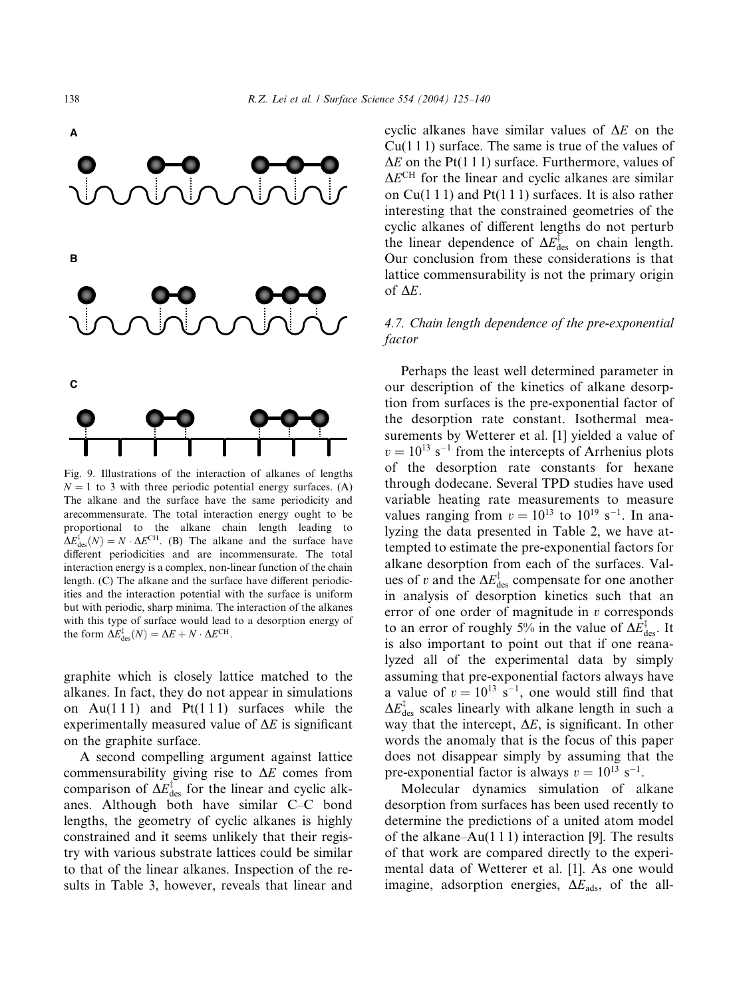

Fig. 9. Illustrations of the interaction of alkanes of lengths  $N = 1$  to 3 with three periodic potential energy surfaces. (A) The alkane and the surface have the same periodicity and arecommensurate. The total interaction energy ought to be proportional to the alkane chain length leading to  $\Delta E_{\text{des}}^{\dagger}(N) = N \cdot \Delta E^{\text{CH}}$ . (B) The alkane and the surface have different periodicities and are incommensurate. The total interaction energy is a complex, non-linear function of the chain length. (C) The alkane and the surface have different periodicities and the interaction potential with the surface is uniform but with periodic, sharp minima. The interaction of the alkanes with this type of surface would lead to a desorption energy of the form  $\Delta E_{\text{des}}^{\dagger}(N) = \Delta E + N \cdot \Delta E^{\text{CH}}$ .

graphite which is closely lattice matched to the alkanes. In fact, they do not appear in simulations on Au(111) and Pt(111) surfaces while the experimentally measured value of  $\Delta E$  is significant on the graphite surface.

A second compelling argument against lattice commensurability giving rise to  $\Delta E$  comes from comparison of  $\Delta E_{\text{des}}^{\dagger}$  for the linear and cyclic alkanes. Although both have similar C–C bond lengths, the geometry of cyclic alkanes is highly constrained and it seems unlikely that their registry with various substrate lattices could be similar to that of the linear alkanes. Inspection of the results in Table 3, however, reveals that linear and cyclic alkanes have similar values of  $\Delta E$  on the  $Cu(111)$  surface. The same is true of the values of  $\Delta E$  on the Pt(1 1 1) surface. Furthermore, values of  $\Delta E^{CH}$  for the linear and cyclic alkanes are similar on  $Cu(1\ 1\ 1)$  and  $Pt(1\ 1\ 1)$  surfaces. It is also rather interesting that the constrained geometries of the cyclic alkanes of different lengths do not perturb the linear dependence of  $\Delta E_{\text{des}}^{\dagger}$  on chain length. Our conclusion from these considerations is that lattice commensurability is not the primary origin of  $\Delta E$ .

## 4.7. Chain length dependence of the pre-exponential factor

Perhaps the least well determined parameter in our description of the kinetics of alkane desorption from surfaces is the pre-exponential factor of the desorption rate constant. Isothermal measurements by Wetterer et al. [1] yielded a value of  $v = 10^{13}$  s<sup>-1</sup> from the intercepts of Arrhenius plots of the desorption rate constants for hexane through dodecane. Several TPD studies have used variable heating rate measurements to measure values ranging from  $v = 10^{13}$  to  $10^{19}$  s<sup>-1</sup>. In analyzing the data presented in Table 2, we have attempted to estimate the pre-exponential factors for alkane desorption from each of the surfaces. Values of v and the  $\Delta E_{\text{des}}^{\ddagger}$  compensate for one another in analysis of desorption kinetics such that an error of one order of magnitude in  $v$  corresponds to an error of roughly 5% in the value of  $\Delta E_{\rm des}^{\ddagger}$ . It is also important to point out that if one reanalyzed all of the experimental data by simply assuming that pre-exponential factors always have a value of  $v = 10^{13}$  s<sup>-1</sup>, one would still find that  $\Delta E_{\rm des}^{\ddagger}$  scales linearly with alkane length in such a way that the intercept,  $\Delta E$ , is significant. In other words the anomaly that is the focus of this paper does not disappear simply by assuming that the pre-exponential factor is always  $v = 10^{13} \text{ s}^{-1}$ .

Molecular dynamics simulation of alkane desorption from surfaces has been used recently to determine the predictions of a united atom model of the alkane– $Au(1\ 1\ 1)$  interaction [9]. The results of that work are compared directly to the experimental data of Wetterer et al. [1]. As one would imagine, adsorption energies,  $\Delta E_{ads}$ , of the all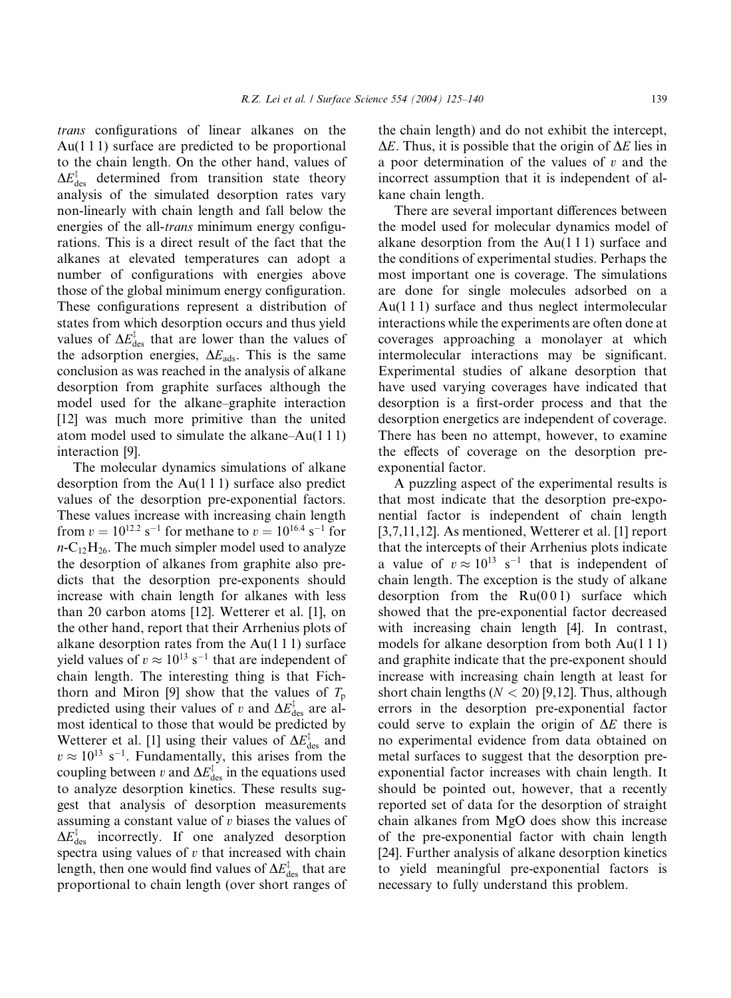trans configurations of linear alkanes on the Au(1 1 1) surface are predicted to be proportional to the chain length. On the other hand, values of  $\Delta E_{\text{des}}^{\ddagger}$  determined from transition state theory analysis of the simulated desorption rates vary non-linearly with chain length and fall below the energies of the all-*trans* minimum energy configurations. This is a direct result of the fact that the alkanes at elevated temperatures can adopt a number of configurations with energies above those of the global minimum energy configuration. These configurations represent a distribution of states from which desorption occurs and thus yield values of  $\Delta E_{\text{des}}^{\dagger}$  that are lower than the values of the adsorption energies,  $\Delta E_{ads}$ . This is the same conclusion as was reached in the analysis of alkane desorption from graphite surfaces although the model used for the alkane–graphite interaction [12] was much more primitive than the united atom model used to simulate the alkane–Au(1 1 1) interaction [9].

The molecular dynamics simulations of alkane desorption from the Au(1 1 1) surface also predict values of the desorption pre-exponential factors. These values increase with increasing chain length from  $v = 10^{12.2}$  s<sup>-1</sup> for methane to  $v = 10^{16.4}$  s<sup>-1</sup> for  $n-C_{12}H_{26}$ . The much simpler model used to analyze the desorption of alkanes from graphite also predicts that the desorption pre-exponents should increase with chain length for alkanes with less than 20 carbon atoms [12]. Wetterer et al. [1], on the other hand, report that their Arrhenius plots of alkane desorption rates from the  $Au(111)$  surface yield values of  $v \approx 10^{13} \text{ s}^{-1}$  that are independent of chain length. The interesting thing is that Fichthorn and Miron [9] show that the values of  $T_p$ predicted using their values of v and  $\Delta E_{\text{des}}^{\dagger}$  are almost identical to those that would be predicted by Wetterer et al. [1] using their values of  $\Delta E_{\text{des}}^{\dagger}$  and  $v \approx 10^{13}$  s<sup>-1</sup>. Fundamentally, this arises from the coupling between v and  $\Delta E_{\text{des}}^{\ddagger}$  in the equations used to analyze desorption kinetics. These results suggest that analysis of desorption measurements assuming a constant value of  $v$  biases the values of  $\Delta E_{\text{des}}^{\dagger}$  incorrectly. If one analyzed desorption spectra using values of  $v$  that increased with chain length, then one would find values of  $\Delta E_{\rm des}^{\ddag}$  that are proportional to chain length (over short ranges of the chain length) and do not exhibit the intercept,  $\Delta E$ . Thus, it is possible that the origin of  $\Delta E$  lies in a poor determination of the values of  $v$  and the incorrect assumption that it is independent of alkane chain length.

There are several important differences between the model used for molecular dynamics model of alkane desorption from the Au(1 1 1) surface and the conditions of experimental studies. Perhaps the most important one is coverage. The simulations are done for single molecules adsorbed on a Au(1 1 1) surface and thus neglect intermolecular interactions while the experiments are often done at coverages approaching a monolayer at which intermolecular interactions may be significant. Experimental studies of alkane desorption that have used varying coverages have indicated that desorption is a first-order process and that the desorption energetics are independent of coverage. There has been no attempt, however, to examine the effects of coverage on the desorption preexponential factor.

A puzzling aspect of the experimental results is that most indicate that the desorption pre-exponential factor is independent of chain length [3,7,11,12]. As mentioned, Wetterer et al. [1] report that the intercepts of their Arrhenius plots indicate a value of  $v \approx 10^{13}$  s<sup>-1</sup> that is independent of chain length. The exception is the study of alkane desorption from the  $Ru(001)$  surface which showed that the pre-exponential factor decreased with increasing chain length [4]. In contrast, models for alkane desorption from both Au(1 1 1) and graphite indicate that the pre-exponent should increase with increasing chain length at least for short chain lengths  $(N < 20)$  [9,12]. Thus, although errors in the desorption pre-exponential factor could serve to explain the origin of  $\Delta E$  there is no experimental evidence from data obtained on metal surfaces to suggest that the desorption preexponential factor increases with chain length. It should be pointed out, however, that a recently reported set of data for the desorption of straight chain alkanes from MgO does show this increase of the pre-exponential factor with chain length [24]. Further analysis of alkane desorption kinetics to yield meaningful pre-exponential factors is necessary to fully understand this problem.